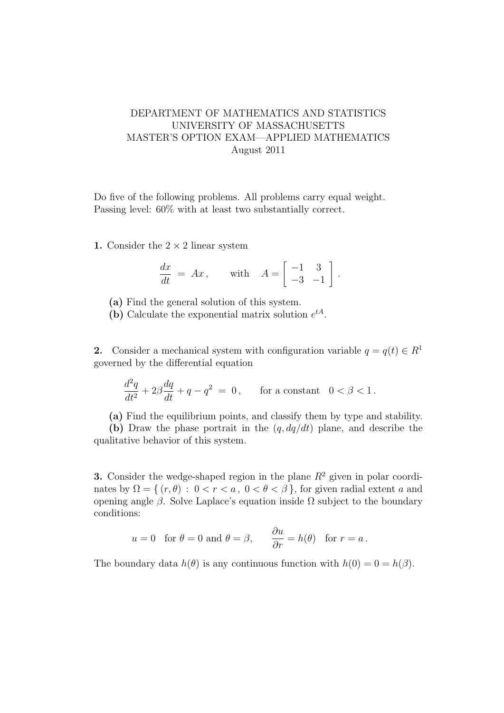## DEPARTMENT OF MATHEMATICS AND STATISTICS UNIVERSITY OF MASSACHUSETTS MASTER'S OPTION EXAM—APPLIED MATHEMATICS August 2011

Do five of the following problems. All problems carry equal weight. Passing level: 60% with at least two substantially correct.

1. Consider the  $2 \times 2$  linear system

$$
\frac{dx}{dt} = Ax, \quad \text{with} \quad A = \begin{bmatrix} -1 & 3 \\ -3 & -1 \end{bmatrix}.
$$

(a) Find the general solution of this system.

(b) Calculate the exponential matrix solution  $e^{tA}$ .

2. Consider a mechanical system with configuration variable  $q = q(t) \in R^1$ governed by the differential equation

$$
\frac{d^2q}{dt^2} + 2\beta \frac{dq}{dt} + q - q^2 = 0, \qquad \text{for a constant} \quad 0 < \beta < 1.
$$

(a) Find the equilibrium points, and classify them by type and stability.

(b) Draw the phase portrait in the  $(q, dq/dt)$  plane, and describe the qualitative behavior of this system.

**3.** Consider the wedge-shaped region in the plane  $R^2$  given in polar coordinates by  $\Omega = \{ (r, \theta) : 0 < r < a, 0 < \theta < \beta \}$ , for given radial extent a and opening angle β. Solve Laplace's equation inside  $\Omega$  subject to the boundary conditions:

$$
u = 0
$$
 for  $\theta = 0$  and  $\theta = \beta$ ,  $\frac{\partial u}{\partial r} = h(\theta)$  for  $r = a$ .

The boundary data  $h(\theta)$  is any continuous function with  $h(0) = 0 = h(\beta)$ .